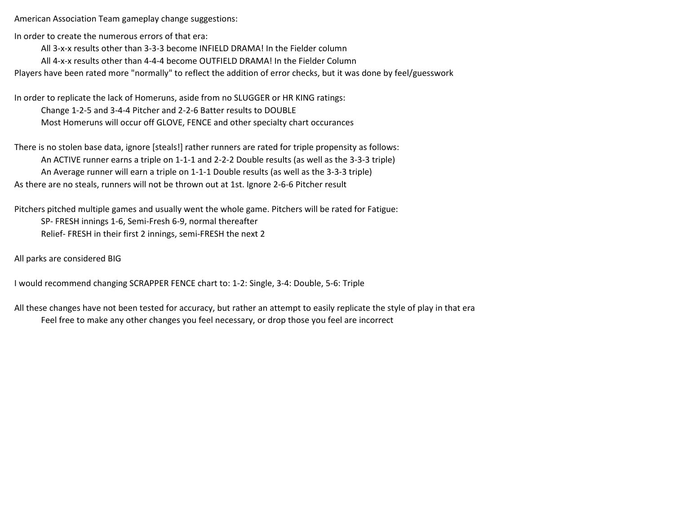American Association Team gameplay change suggestions:

In order to create the numerous errors of that era:

All 3-x-x results other than 3-3-3 become INFIELD DRAMA! In the Fielder column

All 4-x-x results other than 4-4-4 become OUTFIELD DRAMA! In the Fielder Column

Players have been rated more "normally" to reflect the addition of error checks, but it was done by feel/guesswork

In order to replicate the lack of Homeruns, aside from no SLUGGER or HR KING ratings: Change 1-2-5 and 3-4-4 Pitcher and 2-2-6 Batter results to DOUBLE Most Homeruns will occur off GLOVE, FENCE and other specialty chart occurances

There is no stolen base data, ignore [steals!] rather runners are rated for triple propensity as follows: An ACTIVE runner earns a triple on 1-1-1 and 2-2-2 Double results (as well as the 3-3-3 triple) An Average runner will earn a triple on 1-1-1 Double results (as well as the 3-3-3 triple) As there are no steals, runners will not be thrown out at 1st. Ignore 2-6-6 Pitcher result

Pitchers pitched multiple games and usually went the whole game. Pitchers will be rated for Fatigue: SP- FRESH innings 1-6, Semi-Fresh 6-9, normal thereafter Relief- FRESH in their first 2 innings, semi-FRESH the next 2

All parks are considered BIG

I would recommend changing SCRAPPER FENCE chart to: 1-2: Single, 3-4: Double, 5-6: Triple

All these changes have not been tested for accuracy, but rather an attempt to easily replicate the style of play in that era Feel free to make any other changes you feel necessary, or drop those you feel are incorrect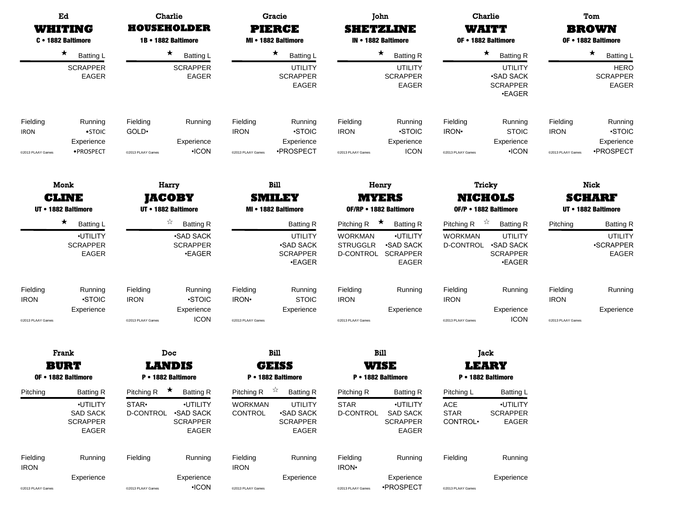|                                              | Ed<br>WHITING<br>C · 1882 Baltimore                                                                          | <b>Charlie</b><br>HOUSEHOLDER<br>1B • 1882 Baltimore |                                                                                                                                      | <b>Gracie</b><br><b>PIERCE</b><br>MI • 1882 Baltimore |                                                                                                                                     | John<br><b>SHETZLINE</b><br>IN • 1882 Baltimore                                                              |                                                                                                                 | <b>Charlie</b><br>WAITT<br>OF • 1882 Baltimore                                            |                                                                                                                                                            | Tom<br><b>BROWN</b><br>OF • 1882 Baltimore               |                                                                                   |  |
|----------------------------------------------|--------------------------------------------------------------------------------------------------------------|------------------------------------------------------|--------------------------------------------------------------------------------------------------------------------------------------|-------------------------------------------------------|-------------------------------------------------------------------------------------------------------------------------------------|--------------------------------------------------------------------------------------------------------------|-----------------------------------------------------------------------------------------------------------------|-------------------------------------------------------------------------------------------|------------------------------------------------------------------------------------------------------------------------------------------------------------|----------------------------------------------------------|-----------------------------------------------------------------------------------|--|
|                                              | $\star$<br><b>Batting L</b>                                                                                  |                                                      | $\star$<br><b>Batting L</b>                                                                                                          |                                                       | $\star$<br>Batting L                                                                                                                |                                                                                                              | $\star$<br><b>Batting R</b>                                                                                     |                                                                                           | $\star$<br><b>Batting R</b>                                                                                                                                |                                                          | $\star$<br><b>Batting L</b>                                                       |  |
|                                              | <b>SCRAPPER</b><br>EAGER                                                                                     |                                                      | <b>SCRAPPER</b><br>EAGER                                                                                                             |                                                       | <b>UTILITY</b><br><b>SCRAPPER</b><br><b>EAGER</b>                                                                                   |                                                                                                              | <b>UTILITY</b><br><b>SCRAPPER</b><br><b>EAGER</b>                                                               |                                                                                           | <b>UTILITY</b><br><b>SAD SACK</b><br><b>SCRAPPER</b><br><b>•EAGER</b>                                                                                      |                                                          | <b>HERO</b><br><b>SCRAPPER</b><br>EAGER                                           |  |
| Fielding<br><b>IRON</b><br>@2013 PLAAY Games | Running<br>$\bullet$ STOIC<br>Experience<br>·PROSPECT                                                        | Fielding<br>GOLD <sup>.</sup><br>@2013 PLAAY Games   | Running<br>Experience<br>$\cdot$ ICON                                                                                                | Fielding<br><b>IRON</b><br>@2013 PLAAY Games          | Running<br><b>STOIC</b><br>Experience<br>•PROSPECT                                                                                  | Fielding<br><b>IRON</b><br>@2013 PLAAY Games                                                                 | Running<br><b>STOIC</b><br>Experience<br><b>ICON</b>                                                            | Fielding<br>IRON <sup>.</sup><br>@2013 PLAAY Games                                        | Running<br><b>STOIC</b><br>Experience<br>$\cdot$ ICON                                                                                                      | Fielding<br><b>IRON</b><br>@2013 PLAAY Games             | Running<br>·STOIC<br>Experience<br>·PROSPECT                                      |  |
|                                              | Monk                                                                                                         |                                                      | Harry                                                                                                                                |                                                       | Bill                                                                                                                                |                                                                                                              | Henry                                                                                                           |                                                                                           | <b>Tricky</b>                                                                                                                                              | <b>Nick</b>                                              |                                                                                   |  |
|                                              | <b>CLINE</b><br>UT • 1882 Baltimore                                                                          | JACOBY<br>UT • 1882 Baltimore                        |                                                                                                                                      | <b>SMILEY</b><br>MI • 1882 Baltimore                  |                                                                                                                                     | <b>MYERS</b><br>OF/RP . 1882 Baltimore                                                                       |                                                                                                                 | NICHOLS<br>OF/P . 1882 Baltimore                                                          |                                                                                                                                                            | <b>SCHARF</b><br>UT • 1882 Baltimore                     |                                                                                   |  |
| Fielding<br><b>IRON</b><br>@2013 PLAAY Games | $\star$<br><b>Batting L</b><br>·UTILITY<br><b>SCRAPPER</b><br>EAGER<br>Running<br><b>STOIC</b><br>Experience | Fielding<br><b>IRON</b><br>@2013 PLAAY Games         | ☆<br><b>Batting R</b><br><b>SAD SACK</b><br><b>SCRAPPER</b><br><b>•EAGER</b><br>Running<br><b>STOIC</b><br>Experience<br><b>ICON</b> | Fielding<br>IRON <sup>.</sup><br>@2013 PLAAY Games    | <b>Batting R</b><br><b>UTILITY</b><br><b>.SAD SACK</b><br><b>SCRAPPER</b><br><b>•EAGER</b><br>Running<br><b>STOIC</b><br>Experience | Pitching R<br><b>WORKMAN</b><br><b>STRUGGLR</b><br>D-CONTROL<br>Fielding<br><b>IRON</b><br>@2013 PLAAY Games | $\star$<br><b>Batting R</b><br>·UTILITY<br><b>SAD SACK</b><br>SCRAPPER<br><b>EAGER</b><br>Running<br>Experience | Pitching R<br><b>WORKMAN</b><br>D-CONTROL<br>Fielding<br><b>IRON</b><br>@2013 PLAAY Games | $\frac{1}{\sqrt{2}}$<br><b>Batting R</b><br><b>UTILITY</b><br><b>.SAD SACK</b><br><b>SCRAPPER</b><br><b>•EAGER</b><br>Running<br>Experience<br><b>ICON</b> | Pitching<br>Fielding<br><b>IRON</b><br>@2013 PLAAY Games | <b>Batting R</b><br><b>UTILITY</b><br>·SCRAPPER<br>EAGER<br>Running<br>Experience |  |
|                                              | Frank                                                                                                        | <b>Doc</b>                                           |                                                                                                                                      | Bill                                                  |                                                                                                                                     | Bill                                                                                                         |                                                                                                                 | Jack                                                                                      |                                                                                                                                                            |                                                          |                                                                                   |  |
|                                              | <b>BURT</b><br>OF • 1882 Baltimore                                                                           |                                                      | <b>LANDIS</b><br>P • 1882 Baltimore                                                                                                  |                                                       | <b>GEISS</b><br>P • 1882 Baltimore                                                                                                  |                                                                                                              | WISE<br>P • 1882 Baltimore                                                                                      |                                                                                           | <b>LEARY</b><br>P • 1882 Baltimore                                                                                                                         |                                                          |                                                                                   |  |
| Pitching                                     | <b>Batting R</b><br>·UTILITY<br><b>SAD SACK</b><br><b>SCRAPPER</b><br>EAGER                                  | Pitching R<br>STAR•<br>D-CONTROL                     | $\star$<br><b>Batting R</b><br>·UTILITY<br><b>.SAD SACK</b><br><b>SCRAPPER</b><br>EAGER                                              | Pitching R<br><b>WORKMAN</b><br>CONTROL               | $\vec{r}$<br><b>Batting R</b><br><b>UTILITY</b><br><b>.SAD SACK</b><br><b>SCRAPPER</b><br>EAGER                                     | Pitching R<br><b>STAR</b><br><b>D-CONTROL</b>                                                                | <b>Batting R</b><br>·UTILITY<br><b>SAD SACK</b><br><b>SCRAPPER</b><br>EAGER                                     | Pitching L<br>$\mathsf{ACE}$<br><b>STAR</b><br>CONTROL <sup>.</sup>                       | <b>Batting L</b><br>·UTILITY<br><b>SCRAPPER</b><br>EAGER                                                                                                   |                                                          |                                                                                   |  |
| Fielding<br><b>IRON</b><br>@2013 PLAAY Games | Running<br>Experience                                                                                        | Fielding<br>@2013 PLAAY Games                        | Running<br>Experience<br>$\cdot$ ICON                                                                                                | Fielding<br><b>IRON</b><br>@2013 PLAAY Games          | Running<br>Experience                                                                                                               | Fielding<br>IRON <sup>.</sup><br>@2013 PLAAY Games                                                           | Running<br>Experience<br>·PROSPECT                                                                              | Fielding<br>@2013 PLAAY Games                                                             | Running<br>Experience                                                                                                                                      |                                                          |                                                                                   |  |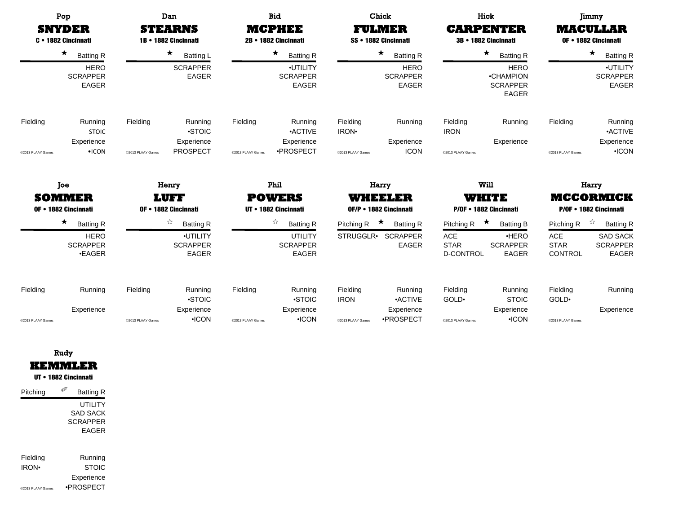|                               | Pop<br><b>SNYDER</b><br>C · 1882 Cincinnati                                    |                                                                | Dan<br><b>STEARNS</b><br>1B • 1882 Cincinnati                        |                                               | <b>Bid</b><br><b>MCPHEE</b><br>2B · 1882 Cincinnati                  |                                                    | Chick<br><b>FULMER</b><br>SS • 1882 Cincinnati                                |                                                             | Hick<br><b>CARPENTER</b><br>3B · 1882 Cincinnati                                                  |                                                           | Jimmy<br><b>MACULLAR</b><br>OF • 1882 Cincinnati                            |
|-------------------------------|--------------------------------------------------------------------------------|----------------------------------------------------------------|----------------------------------------------------------------------|-----------------------------------------------|----------------------------------------------------------------------|----------------------------------------------------|-------------------------------------------------------------------------------|-------------------------------------------------------------|---------------------------------------------------------------------------------------------------|-----------------------------------------------------------|-----------------------------------------------------------------------------|
|                               | $\star$<br><b>Batting R</b><br><b>HERO</b><br><b>SCRAPPER</b><br><b>EAGER</b>  | $\star$<br><b>Batting L</b><br><b>SCRAPPER</b><br><b>EAGER</b> |                                                                      |                                               | ★<br><b>Batting R</b><br>·UTILITY<br><b>SCRAPPER</b><br><b>EAGER</b> |                                                    | $\star$<br><b>Batting R</b><br><b>HERO</b><br><b>SCRAPPER</b><br><b>EAGER</b> |                                                             | $\star$<br><b>Batting R</b><br><b>HERO</b><br><b>•CHAMPION</b><br><b>SCRAPPER</b><br><b>EAGER</b> |                                                           | $\star$<br><b>Batting R</b><br>·UTILITY<br><b>SCRAPPER</b><br><b>EAGER</b>  |
| Fielding<br>@2013 PLAAY Games | Running<br><b>STOIC</b><br>Experience<br>$\cdot$ ICON                          | Fielding<br>@2013 PLAAY Games                                  | Running<br>•STOIC<br>Experience<br><b>PROSPECT</b>                   | Fielding<br>@2013 PLAAY Games                 | Running<br><b>ACTIVE</b><br>Experience<br>·PROSPECT                  | Fielding<br>IRON <sup>.</sup><br>@2013 PLAAY Games | Running<br>Experience<br><b>ICON</b>                                          | Fielding<br><b>IRON</b><br>@2013 PLAAY Games                | Running<br>Experience                                                                             | Fielding<br>@2013 PLAAY Games                             | Running<br><b>ACTIVE</b><br>Experience<br>$\cdot$ ICON                      |
|                               | Joe<br><b>SOMMER</b><br>OF • 1882 Cincinnati                                   |                                                                | Henry<br>I WET<br>OF • 1882 Cincinnati                               | Phil<br><b>POWERS</b><br>UT • 1882 Cincinnati |                                                                      | Harry<br>WHEELER<br>OF/P • 1882 Cincinnati         |                                                                               | Will<br>WHITE<br>P/OF • 1882 Cincinnati                     |                                                                                                   | Harry<br><b>MCCORMICK</b><br>P/OF • 1882 Cincinnati       |                                                                             |
|                               | $\star$<br><b>Batting R</b><br><b>HERO</b><br><b>SCRAPPER</b><br>$\cdot$ EAGER |                                                                | ☆<br><b>Batting R</b><br>·UTILITY<br><b>SCRAPPER</b><br><b>EAGER</b> |                                               | ☆<br><b>Batting R</b><br>UTILITY<br><b>SCRAPPER</b><br><b>EAGER</b>  | Pitching R<br>STRUGGLR•                            | ★<br><b>Batting R</b><br><b>SCRAPPER</b><br><b>EAGER</b>                      | Pitching R<br><b>ACE</b><br><b>STAR</b><br><b>D-CONTROL</b> | ★<br><b>Batting B</b><br>HERO<br><b>SCRAPPER</b><br><b>EAGER</b>                                  | Pitching R<br><b>ACE</b><br><b>STAR</b><br><b>CONTROL</b> | ☆<br><b>Batting R</b><br><b>SAD SACK</b><br><b>SCRAPPER</b><br><b>EAGER</b> |
| Fielding<br>@2013 PLAAY Games | Running<br>Experience                                                          | Fielding<br>@2013 PLAAY Games                                  | Running<br><b>STOIC</b><br>Experience<br>$\cdot$ ICON                | Fielding<br>@2013 PLAAY Games                 | Running<br><b>STOIC</b><br>Experience<br>$\cdot$ ICON                | Fielding<br><b>IRON</b><br>@2013 PLAAY Games       | Running<br><b>ACTIVE</b><br>Experience<br>·PROSPECT                           | Fielding<br>GOLD <sup>.</sup><br>@2013 PLAAY Games          | Running<br><b>STOIC</b><br>Experience<br>$\cdot$ ICON                                             | Fielding<br>GOLD.<br>@2013 PLAAY Games                    | Running<br>Experience                                                       |

| Rudy           |
|----------------|
| <b>KEMMLER</b> |

UT • 1882 Cincinnati

| Pitching          | <b>Batting R</b> |
|-------------------|------------------|
|                   | UTILITY          |
|                   | SAD SACK         |
|                   | <b>SCRAPPER</b>  |
|                   | FAGFR            |
|                   |                  |
| Fielding          | Running          |
| <b>IRON</b>       | <b>STOIC</b>     |
|                   | Experience       |
| @2013 PLAAY Games | •PROSPFCT        |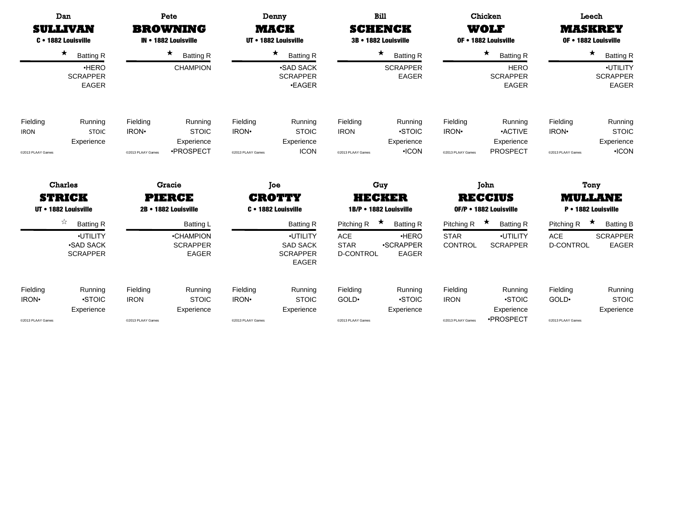|                                                                         | Dan<br><b>SULLIVAN</b><br>C . 1882 Louisville | Pete<br><b>BROWNING</b><br>IN • 1882 Louisville                  |                                                |                                        | Denny<br>MACK<br>UT • 1882 Louisville          |                                                             | <b>Bill</b><br><b>SCHENCK</b><br>3B • 1882 Louisville              |                                              | Chicken<br>WOLF<br>OF • 1882 Louisville              |                                                    | Leech<br><b>MASKREY</b><br>OF . 1882 Louisville          |
|-------------------------------------------------------------------------|-----------------------------------------------|------------------------------------------------------------------|------------------------------------------------|----------------------------------------|------------------------------------------------|-------------------------------------------------------------|--------------------------------------------------------------------|----------------------------------------------|------------------------------------------------------|----------------------------------------------------|----------------------------------------------------------|
|                                                                         | $\star$<br><b>Batting R</b><br>HERO           |                                                                  | $\star$<br><b>Batting R</b><br><b>CHAMPION</b> |                                        | $\star$<br><b>Batting R</b><br><b>SAD SACK</b> |                                                             | $\star$<br><b>Batting R</b><br><b>SCRAPPER</b>                     |                                              | $\star$<br><b>Batting R</b><br><b>HERO</b>           |                                                    | $\star$<br><b>Batting R</b><br>·UTILITY                  |
|                                                                         | <b>SCRAPPER</b><br><b>EAGER</b>               |                                                                  |                                                |                                        | <b>SCRAPPER</b><br><b>.EAGER</b>               |                                                             | <b>EAGER</b>                                                       |                                              | <b>SCRAPPER</b><br><b>EAGER</b>                      |                                                    | <b>SCRAPPER</b><br><b>EAGER</b>                          |
| Fielding<br><b>IRON</b>                                                 | Running<br><b>STOIC</b>                       | Fielding<br>IRON <sup>.</sup>                                    | Running<br><b>STOIC</b>                        | Fielding<br>IRON <sup>.</sup>          | Running<br><b>STOIC</b>                        | Fielding<br><b>IRON</b>                                     | Running<br><b>STOIC</b>                                            | Fielding<br>IRON <sup>.</sup>                | Running<br><b>ACTIVE</b>                             | Fielding<br>IRON <sup>.</sup>                      | Running<br><b>STOIC</b>                                  |
| @2013 PLAAY Games                                                       | Experience                                    | @2013 PLAAY Games                                                | Experience<br>·PROSPECT                        | @2013 PLAAY Games                      | Experience<br><b>ICON</b>                      | @2013 PLAAY Games                                           | Experience<br>$\cdot$ ICON                                         | @2013 PLAAY Games                            | Experience<br><b>PROSPECT</b>                        | @2013 PLAAY Games                                  | Experience<br>$\cdot$ ICON                               |
|                                                                         | <b>Charles</b>                                | Gracie                                                           |                                                | Joe                                    |                                                | Guy                                                         |                                                                    | John                                         |                                                      | Tony                                               |                                                          |
|                                                                         | <b>STRICK</b><br>UT • 1882 Louisville         |                                                                  | <b>PIERCE</b><br>2B • 1882 Louisville          |                                        | <b>CROTTY</b><br>C · 1882 Louisville           | HECKER<br>1B/P • 1882 Louisville                            |                                                                    | <b>RECCIUS</b><br>OF/P • 1882 Louisville     |                                                      | <b>MULLANE</b><br>P • 1882 Louisville              |                                                          |
| ☆<br><b>Batting R</b><br>·UTILITY<br><b>SAD SACK</b><br><b>SCRAPPER</b> |                                               | <b>Batting L</b><br>•CHAMPION<br><b>SCRAPPER</b><br><b>EAGER</b> |                                                | <b>SAD SACK</b><br><b>SCRAPPER</b>     |                                                | Pitching R<br><b>ACE</b><br><b>STAR</b><br><b>D-CONTROL</b> | ★<br><b>Batting R</b><br>·HERO<br><b>.SCRAPPER</b><br><b>EAGER</b> | Pitching R<br><b>STAR</b><br>CONTROL         | ★<br><b>Batting R</b><br>·UTILITY<br><b>SCRAPPER</b> | Pitching R<br><b>ACE</b><br><b>D-CONTROL</b>       | ★<br><b>Batting B</b><br><b>SCRAPPER</b><br><b>EAGER</b> |
| Fielding<br>IRON <sup>.</sup><br>@2013 PLAAY Games                      | Running<br><b>STOIC</b><br>Experience         | Fielding<br><b>IRON</b><br>@2013 PLAAY Games                     | Running<br><b>STOIC</b><br>Experience          | Fielding<br>IRON·<br>@2013 PLAAY Games | Running<br><b>STOIC</b><br>Experience          | Fielding<br>GOLD <sup>.</sup><br>@2013 PLAAY Games          | Running<br><b>STOIC</b><br>Experience                              | Fielding<br><b>IRON</b><br>@2013 PLAAY Games | Running<br><b>STOIC</b><br>Experience<br>·PROSPECT   | Fielding<br>GOLD <sup>.</sup><br>@2013 PLAAY Games | Running<br><b>STOIC</b><br>Experience                    |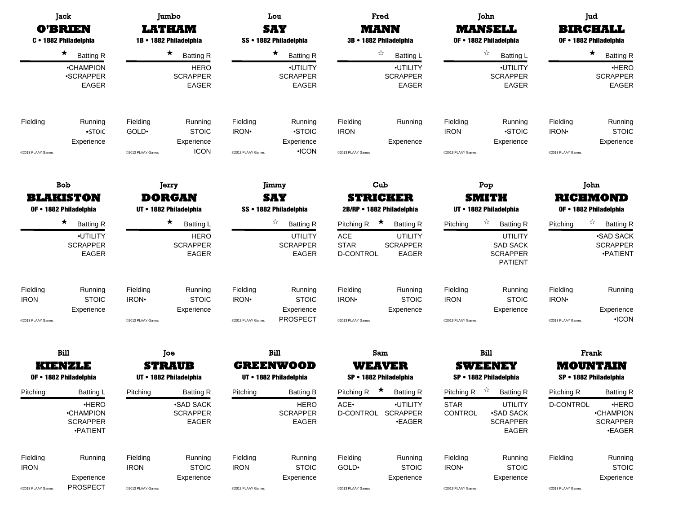|                                              | Jack<br><b>O'BRIEN</b><br>C · 1882 Philadelphia                       |                                                           | Jumbo<br><b>LATHAM</b><br>1B • 1882 Philadelphia                              |                                                    | Lou<br><b>SAY</b><br>SS · 1882 Philadelphia                                |                                                             | Fred<br><b>MANN</b><br>3B • 1882 Philadelphia                                    |                                                    | John<br><b>MANSELL</b><br>OF • 1882 Philadelphia                                                                  | Jud<br><b>BIRCHALL</b><br>OF • 1882 Philadelphia   |                                                                                   |
|----------------------------------------------|-----------------------------------------------------------------------|-----------------------------------------------------------|-------------------------------------------------------------------------------|----------------------------------------------------|----------------------------------------------------------------------------|-------------------------------------------------------------|----------------------------------------------------------------------------------|----------------------------------------------------|-------------------------------------------------------------------------------------------------------------------|----------------------------------------------------|-----------------------------------------------------------------------------------|
|                                              | $\star$<br><b>Batting R</b>                                           |                                                           | $\star$<br><b>Batting R</b>                                                   |                                                    | ★<br><b>Batting R</b>                                                      |                                                             | ☆<br><b>Batting L</b>                                                            |                                                    | ☆<br><b>Batting L</b>                                                                                             |                                                    | $\star$<br><b>Batting R</b>                                                       |
|                                              | •CHAMPION<br><b>•SCRAPPER</b><br>EAGER                                |                                                           | <b>HERO</b><br><b>SCRAPPER</b><br><b>EAGER</b>                                |                                                    | ·UTILITY<br><b>SCRAPPER</b><br>EAGER                                       |                                                             | <b>.UTILITY</b><br><b>SCRAPPER</b><br><b>EAGER</b>                               |                                                    | ·UTILITY<br><b>SCRAPPER</b><br><b>EAGER</b>                                                                       |                                                    | ·HERO<br><b>SCRAPPER</b><br><b>EAGER</b>                                          |
| Fielding                                     | Running<br>$•$ STOIC<br>Experience                                    | Fielding<br>GOLD·                                         | Running<br><b>STOIC</b><br>Experience<br><b>ICON</b>                          | Fielding<br>IRON <sup>.</sup>                      | Running<br><b>STOIC</b><br>Experience<br>$\cdot$ ICON                      | Fielding<br><b>IRON</b>                                     | Running<br>Experience                                                            | Fielding<br><b>IRON</b>                            | Running<br><b>STOIC</b><br>Experience                                                                             | Fielding<br>IRON <sup>.</sup>                      | Running<br><b>STOIC</b><br>Experience                                             |
| @2013 PLAAY Games                            |                                                                       | @2013 PLAAY Games                                         |                                                                               | @2013 PLAAY Games                                  |                                                                            | @2013 PLAAY Games                                           |                                                                                  | @2013 PLAAY Games                                  |                                                                                                                   | @2013 PLAAY Games                                  |                                                                                   |
|                                              | <b>Bob</b>                                                            |                                                           | Jerry                                                                         |                                                    | Jimmy                                                                      |                                                             | Cub                                                                              |                                                    | Pop                                                                                                               | John                                               |                                                                                   |
|                                              | <b>BLAKISTON</b><br>OF • 1882 Philadelphia                            | <b>DORGAN</b><br>UT • 1882 Philadelphia                   |                                                                               | <b>SAY</b><br>SS · 1882 Philadelphia               |                                                                            | <b>STRICKER</b><br>2B/RP . 1882 Philadelphia                |                                                                                  | SMITH<br>UT • 1882 Philadelphia                    |                                                                                                                   | <b>RICHMOND</b><br>OF • 1882 Philadelphia          |                                                                                   |
|                                              | $\star$<br><b>Batting R</b><br>·UTILITY<br><b>SCRAPPER</b><br>EAGER   |                                                           | $\star$<br><b>Batting L</b><br><b>HERO</b><br><b>SCRAPPER</b><br><b>EAGER</b> |                                                    | ☆<br><b>Batting R</b><br><b>UTILITY</b><br><b>SCRAPPER</b><br><b>EAGER</b> | Pitching R<br><b>ACE</b><br><b>STAR</b><br><b>D-CONTROL</b> | $\star$<br><b>Batting R</b><br><b>UTILITY</b><br><b>SCRAPPER</b><br><b>EAGER</b> | Pitching                                           | $\approx$<br><b>Batting R</b><br><b>UTILITY</b><br><b>SAD SACK</b><br><b>SCRAPPER</b><br><b>PATIENT</b>           | Pitching                                           | ☆<br><b>Batting R</b><br><b>.SAD SACK</b><br><b>SCRAPPER</b><br><b>•PATIENT</b>   |
| Fielding<br><b>IRON</b><br>@2013 PLAAY Games | Running<br><b>STOIC</b><br>Experience                                 | Fielding<br><b>IRON</b> <sup>•</sup><br>@2013 PLAAY Games | Running<br><b>STOIC</b><br>Experience                                         | Fielding<br>IRON <sup>.</sup><br>@2013 PLAAY Games | Running<br><b>STOIC</b><br>Experience<br>PROSPECT                          | Fielding<br>IRON <sup>.</sup><br>@2013 PLAAY Games          | Running<br><b>STOIC</b><br>Experience                                            | Fielding<br><b>IRON</b><br>@2013 PLAAY Games       | Running<br><b>STOIC</b><br>Experience                                                                             | Fielding<br>IRON <sup>.</sup><br>@2013 PLAAY Games | Running<br>Experience<br>$\cdot$ ICON                                             |
|                                              | Bill                                                                  |                                                           | Joe                                                                           |                                                    | Bill                                                                       |                                                             | Sam                                                                              |                                                    | <b>Bill</b>                                                                                                       |                                                    | Frank                                                                             |
|                                              | <b>KIENZLE</b><br>OF • 1882 Philadelphia                              |                                                           | <b>STRAUB</b><br>UT • 1882 Philadelphia                                       |                                                    | <b>GREENWOOD</b><br>UT • 1882 Philadelphia                                 |                                                             | WEAVER<br>SP • 1882 Philadelphia                                                 |                                                    | <b>SWEENEY</b><br>SP • 1882 Philadelphia                                                                          | <b>MOUNTAIN</b>                                    | SP • 1882 Philadelphia                                                            |
| Pitching                                     | Batting L<br>·HERO<br><b>•CHAMPION</b><br><b>SCRAPPER</b><br>·PATIENT | Pitching                                                  | <b>Batting R</b><br><b>•SAD SACK</b><br><b>SCRAPPER</b><br>EAGER              | Pitching                                           | <b>Batting B</b><br><b>HERO</b><br><b>SCRAPPER</b><br>EAGER                | ACE.                                                        | Pitching R $\star$ Batting R<br>·UTILITY<br>D-CONTROL SCRAPPER<br><b>•EAGER</b>  | <b>STAR</b><br>CONTROL                             | Pitching R $\overrightarrow{x}$ Batting R<br><b>UTILITY</b><br><b>SAD SACK</b><br><b>SCRAPPER</b><br><b>EAGER</b> | Pitching R<br>D-CONTROL                            | <b>Batting R</b><br>·HERO<br><b>•CHAMPION</b><br><b>SCRAPPER</b><br><b>•EAGER</b> |
| Fielding<br><b>IRON</b><br>@2013 PLAAY Games | Running<br>Experience<br>PROSPECT                                     | Fielding<br><b>IRON</b><br>@2013 PLAAY Games              | Running<br><b>STOIC</b><br>Experience                                         | Fielding<br><b>IRON</b><br>@2013 PLAAY Games       | Running<br><b>STOIC</b><br>Experience                                      | Fielding<br>GOLD <sup>.</sup><br>@2013 PLAAY Games          | Running<br><b>STOIC</b><br>Experience                                            | Fielding<br>IRON <sup>.</sup><br>@2013 PLAAY Games | Running<br><b>STOIC</b><br>Experience                                                                             | Fielding<br>@2013 PLAAY Games                      | Running<br><b>STOIC</b><br>Experience                                             |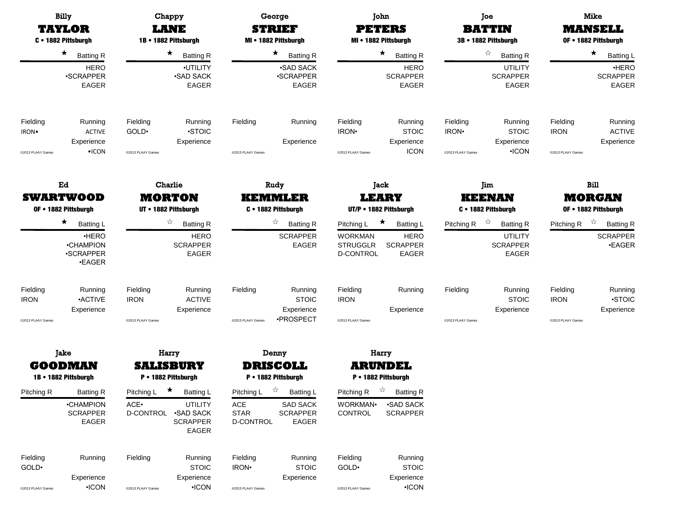|                                                    | <b>Billy</b><br><b>TAYLOR</b><br>C . 1882 Pittsburgh             | Chappy<br>LANE<br>1B · 1882 Pittsburgh |                                                                             | George<br><b>STRIEF</b><br>MI . 1882 Pittsburgh                 |                                                          | John<br><b>PETERS</b><br>MI • 1882 Pittsburgh<br>★<br><b>Batting R</b> |                                                         |                                                    | Joe<br><b>BATTIN</b><br>3B · 1882 Pittsburgh          | <b>Mike</b><br><b>MANSELL</b><br>OF . 1882 Pittsburgh |                                        |  |
|----------------------------------------------------|------------------------------------------------------------------|----------------------------------------|-----------------------------------------------------------------------------|-----------------------------------------------------------------|----------------------------------------------------------|------------------------------------------------------------------------|---------------------------------------------------------|----------------------------------------------------|-------------------------------------------------------|-------------------------------------------------------|----------------------------------------|--|
|                                                    | $\star$<br><b>Batting R</b>                                      |                                        | $\star$<br>$\star$<br><b>Batting R</b><br><b>Batting R</b>                  |                                                                 |                                                          |                                                                        |                                                         | ☆<br><b>Batting R</b>                              |                                                       | $\star$<br><b>Batting L</b>                           |                                        |  |
|                                                    | <b>HERO</b><br>·SCRAPPER<br>EAGER                                |                                        | ·UTILITY<br><b>.SAD SACK</b><br>EAGER                                       |                                                                 | <b>SAD SACK</b><br><b>•SCRAPPER</b><br>EAGER             |                                                                        | <b>HERO</b><br><b>SCRAPPER</b><br><b>EAGER</b>          |                                                    | <b>UTILITY</b><br><b>SCRAPPER</b><br>EAGER            |                                                       | ·HERO<br><b>SCRAPPER</b><br>EAGER      |  |
| Fielding<br>IRON.<br>@2013 PLAAY Games             | Running<br><b>ACTIVE</b><br>Experience<br>$\bullet$ ICON         | Fielding<br>GOLD.<br>@2013 PLAAY Games | Running<br><b>STOIC</b><br>Experience                                       | Fielding<br>@2013 PLAAY Games                                   | Running<br>Experience                                    | Fielding<br>IRON·<br>@2013 PLAAY Games                                 | Running<br><b>STOIC</b><br>Experience<br><b>ICON</b>    | Fielding<br>IRON <sup>.</sup><br>@2013 PLAAY Games | Running<br><b>STOIC</b><br>Experience<br>$\cdot$ ICON | Fielding<br><b>IRON</b><br>@2013 PLAAY Games          | Running<br><b>ACTIVE</b><br>Experience |  |
|                                                    | Ed                                                               |                                        | Charlie                                                                     |                                                                 | Rudy                                                     |                                                                        | Jack                                                    |                                                    | Jim                                                   |                                                       | Bill                                   |  |
| <b>SWARTWOOD</b><br>OF . 1882 Pittsburgh           |                                                                  | <b>MORTON</b><br>UT • 1882 Pittsburgh  |                                                                             | <b>KEMMLER</b><br>C · 1882 Pittsburgh                           |                                                          | <b>LEARY</b><br>UT/P . 1882 Pittsburgh                                 |                                                         | <b>KEENAN</b><br>C · 1882 Pittsburgh               |                                                       | <b>MORGAN</b><br>OF . 1882 Pittsburgh                 |                                        |  |
|                                                    | ★<br><b>Batting L</b>                                            |                                        | ☆<br><b>Batting R</b>                                                       |                                                                 | ☆<br><b>Batting R</b>                                    | Pitching L                                                             | ★<br><b>Batting L</b>                                   | Pitching R                                         | ☆<br><b>Batting R</b>                                 | Pitching R                                            | ☆<br><b>Batting R</b>                  |  |
|                                                    | ·HERO<br><b>•CHAMPION</b><br><b>.SCRAPPER</b><br><b>•EAGER</b>   |                                        | <b>HERO</b><br><b>SCRAPPER</b><br><b>EAGER</b>                              |                                                                 | <b>SCRAPPER</b><br><b>EAGER</b>                          | <b>WORKMAN</b><br><b>STRUGGLR</b><br>D-CONTROL                         | <b>HERO</b><br><b>SCRAPPER</b><br>EAGER                 |                                                    | <b>UTILITY</b><br><b>SCRAPPER</b><br>EAGER            |                                                       | <b>SCRAPPER</b><br><b>•EAGER</b>       |  |
| Fielding<br><b>IRON</b>                            | Running<br><b>ACTIVE</b><br>Experience                           | Fielding<br><b>IRON</b>                | Running<br><b>ACTIVE</b><br>Experience                                      | Fielding                                                        | Running<br><b>STOIC</b><br>Experience                    | Fielding<br><b>IRON</b>                                                | Running<br>Experience                                   | Fielding                                           | Running<br><b>STOIC</b><br>Experience                 | Fielding<br><b>IRON</b>                               | Running<br><b>STOIC</b><br>Experience  |  |
| @2013 PLAAY Games                                  |                                                                  | @2013 PLAAY Games                      |                                                                             | @2013 PLAAY Games                                               | ·PROSPECT                                                | @2013 PLAAY Games                                                      |                                                         | @2013 PLAAY Games                                  |                                                       | @2013 PLAAY Games                                     |                                        |  |
|                                                    | Jake                                                             |                                        | Harry                                                                       |                                                                 | Denny                                                    |                                                                        | Harry                                                   |                                                    |                                                       |                                                       |                                        |  |
|                                                    | <b>GOODMAN</b>                                                   |                                        | <b>SALISBURY</b>                                                            |                                                                 | <b>DRISCOLL</b>                                          |                                                                        | <b>ARUNDEL</b>                                          |                                                    |                                                       |                                                       |                                        |  |
|                                                    | 1B • 1882 Pittsburgh                                             | Pitching L                             | P • 1882 Pittsburgh<br>$\star$                                              |                                                                 | P • 1882 Pittsburgh<br>☆                                 |                                                                        | P · 1882 Pittsburgh                                     |                                                    |                                                       |                                                       |                                        |  |
| Pitching R                                         | <b>Batting R</b><br><b>•CHAMPION</b><br><b>SCRAPPER</b><br>EAGER | ACE.<br>D-CONTROL                      | Batting L<br><b>UTILITY</b><br><b>.SAD SACK</b><br><b>SCRAPPER</b><br>EAGER | Pitching L<br>$\mathsf{ACE}$<br><b>STAR</b><br><b>D-CONTROL</b> | Batting L<br><b>SAD SACK</b><br><b>SCRAPPER</b><br>EAGER | Pitching R<br>WORKMAN·<br>CONTROL                                      | <b>Batting R</b><br><b>-SAD SACK</b><br><b>SCRAPPER</b> |                                                    |                                                       |                                                       |                                        |  |
| Fielding<br>GOLD <sup>.</sup><br>@2013 PLAAY Games | Running<br>Experience<br>$\cdot$ ICON                            | Fielding<br>@2013 PLAAY Games          | Running<br><b>STOIC</b><br>Experience<br>$\cdot$ ICON                       | Fielding<br>IRON <sup>.</sup><br>@2013 PLAAY Games              | Running<br><b>STOIC</b><br>Experience                    | Fielding<br>GOLD <sup>.</sup><br>@2013 PLAAY Games                     | Running<br><b>STOIC</b><br>Experience<br>$\cdot$ ICON   |                                                    |                                                       |                                                       |                                        |  |